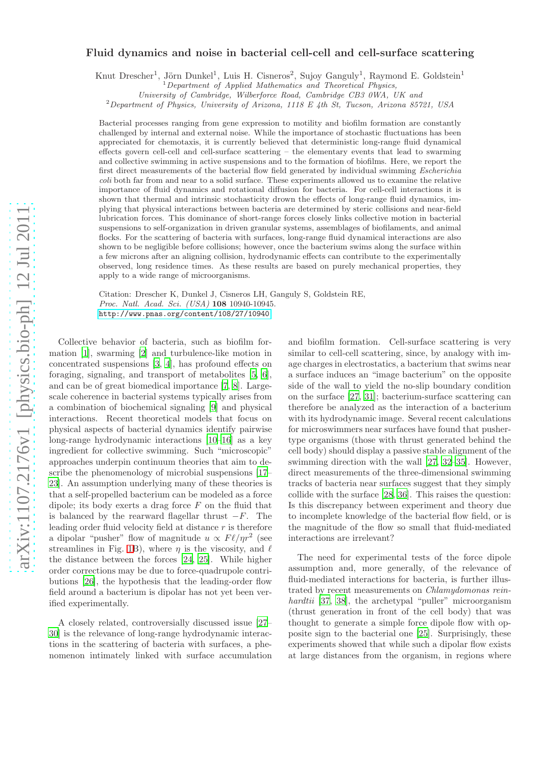# Fluid dynamics and noise in bacterial cell-cell and cell-surface scattering

Knut Drescher<sup>1</sup>, Jörn Dunkel<sup>1</sup>, Luis H. Cisneros<sup>2</sup>, Sujoy Ganguly<sup>1</sup>, Raymond E. Goldstein<sup>1</sup>

University of Cambridge, Wilberforce Road, Cambridge CB3 0WA, UK and

 $^{2}$ Department of Physics, University of Arizona, 1118 E 4th St, Tucson, Arizona 85721, USA

Bacterial processes ranging from gene expression to motility and biofilm formation are constantly challenged by internal and external noise. While the importance of stochastic fluctuations has been appreciated for chemotaxis, it is currently believed that deterministic long-range fluid dynamical effects govern cell-cell and cell-surface scattering – the elementary events that lead to swarming and collective swimming in active suspensions and to the formation of biofilms. Here, we report the first direct measurements of the bacterial flow field generated by individual swimming Escherichia coli both far from and near to a solid surface. These experiments allowed us to examine the relative importance of fluid dynamics and rotational diffusion for bacteria. For cell-cell interactions it is shown that thermal and intrinsic stochasticity drown the effects of long-range fluid dynamics, implying that physical interactions between bacteria are determined by steric collisions and near-field lubrication forces. This dominance of short-range forces closely links collective motion in bacterial suspensions to self-organization in driven granular systems, assemblages of biofilaments, and animal flocks. For the scattering of bacteria with surfaces, long-range fluid dynamical interactions are also shown to be negligible before collisions; however, once the bacterium swims along the surface within a few microns after an aligning collision, hydrodynamic effects can contribute to the experimentally observed, long residence times. As these results are based on purely mechanical properties, they apply to a wide range of microorganisms.

Citation: Drescher K, Dunkel J, Cisneros LH, Ganguly S, Goldstein RE, Proc. Natl. Acad. Sci. (USA) 108 10940-10945. <http://www.pnas.org/content/108/27/10940>

Collective behavior of bacteria, such as biofilm formation [\[1\]](#page-7-0), swarming [\[2\]](#page-7-1) and turbulence-like motion in concentrated suspensions [\[3](#page-7-2), [4](#page-7-3)], has profound effects on foraging, signaling, and transport of metabolites [\[5,](#page-7-4) [6\]](#page-7-5), and can be of great biomedical importance [\[7,](#page-7-6) [8](#page-7-7)]. Largescale coherence in bacterial systems typically arises from a combination of biochemical signaling [\[9](#page-7-8)] and physical interactions. Recent theoretical models that focus on physical aspects of bacterial dynamics identify pairwise long-range hydrodynamic interactions [\[10](#page-7-9)[–16\]](#page-7-10) as a key ingredient for collective swimming. Such "microscopic" approaches underpin continuum theories that aim to describe the phenomenology of microbial suspensions [\[17](#page-7-11)– [23\]](#page-7-12). An assumption underlying many of these theories is that a self-propelled bacterium can be modeled as a force dipole; its body exerts a drag force  $F$  on the fluid that is balanced by the rearward flagellar thrust  $-F$ . The leading order fluid velocity field at distance  $r$  is therefore a dipolar "pusher" flow of magnitude  $u \propto F \ell / \eta r^2$  (see streamlines in Fig. [1B](#page-1-0)), where  $\eta$  is the viscosity, and  $\ell$ the distance between the forces [\[24,](#page-7-13) [25\]](#page-7-14). While higher order corrections may be due to force-quadrupole contributions [\[26\]](#page-7-15), the hypothesis that the leading-order flow field around a bacterium is dipolar has not yet been verified experimentally.

A closely related, controversially discussed issue [\[27](#page-7-16)– [30\]](#page-7-17) is the relevance of long-range hydrodynamic interactions in the scattering of bacteria with surfaces, a phenomenon intimately linked with surface accumulation and biofilm formation. Cell-surface scattering is very similar to cell-cell scattering, since, by analogy with image charges in electrostatics, a bacterium that swims near a surface induces an "image bacterium" on the opposite side of the wall to yield the no-slip boundary condition on the surface [\[27,](#page-7-16) [31\]](#page-7-18); bacterium-surface scattering can therefore be analyzed as the interaction of a bacterium with its hydrodynamic image. Several recent calculations for microswimmers near surfaces have found that pushertype organisms (those with thrust generated behind the cell body) should display a passive stable alignment of the swimming direction with the wall [\[27](#page-7-16), [32](#page-7-19)[–35\]](#page-7-20). However, direct measurements of the three-dimensional swimming tracks of bacteria near surfaces suggest that they simply collide with the surface [\[28](#page-7-21), [36\]](#page-7-22). This raises the question: Is this discrepancy between experiment and theory due to incomplete knowledge of the bacterial flow field, or is the magnitude of the flow so small that fluid-mediated interactions are irrelevant?

The need for experimental tests of the force dipole assumption and, more generally, of the relevance of fluid-mediated interactions for bacteria, is further illustrated by recent measurements on Chlamydomonas rein-hardtii [\[37,](#page-7-23) [38](#page-7-24)], the archetypal "puller" microorganism (thrust generation in front of the cell body) that was thought to generate a simple force dipole flow with opposite sign to the bacterial one [\[25\]](#page-7-14). Surprisingly, these experiments showed that while such a dipolar flow exists at large distances from the organism, in regions where

<sup>&</sup>lt;sup>1</sup>Department of Applied Mathematics and Theoretical Physics,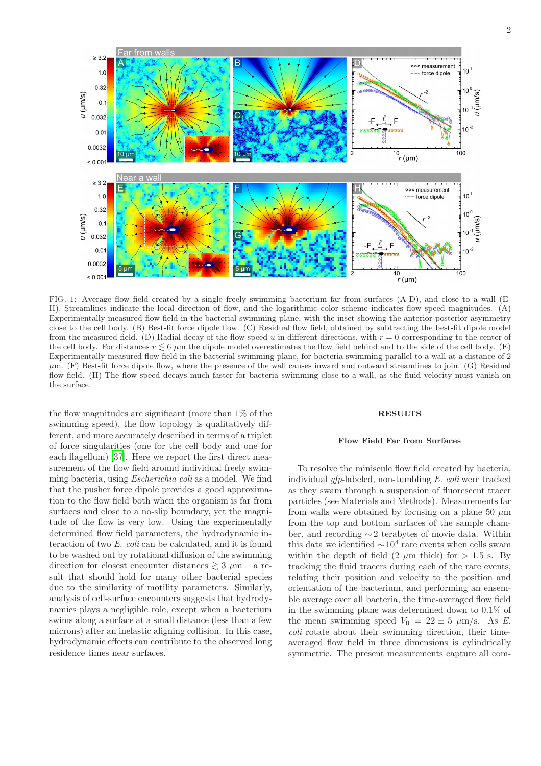<span id="page-1-0"></span>FIG. 1: Average flow field created by a single freely swimming bacterium far from surfaces (A-D), and close to a wall (E-H). Streamlines indicate the local direction of flow, and the logarithmic color scheme indicates flow speed magnitudes. (A) Experimentally measured flow field in the bacterial swimming plane, with the inset showing the anterior-posterior asymmetry close to the cell body. (B) Best-fit force dipole flow. (C) Residual flow field, obtained by subtracting the best-fit dipole model from the measured field. (D) Radial decay of the flow speed u in different directions, with  $r = 0$  corresponding to the center of the cell body. For distances  $r \leq 6 \mu m$  the dipole model overestimates the flow field behind and to the side of the cell body. (E) Experimentally measured flow field in the bacterial swimming plane, for bacteria swimming parallel to a wall at a distance of 2  $\mu$ m. (F) Best-fit force dipole flow, where the presence of the wall causes inward and outward streamlines to join. (G) Residual flow field. (H) The flow speed decays much faster for bacteria swimming close to a wall, as the fluid velocity must vanish on the surface.

the flow magnitudes are significant (more than 1% of the swimming speed), the flow topology is qualitatively different, and more accurately described in terms of a triplet of force singularities (one for the cell body and one for each flagellum) [\[37](#page-7-23)]. Here we report the first direct measurement of the flow field around individual freely swimming bacteria, using Escherichia coli as a model. We find that the pusher force dipole provides a good approximation to the flow field both when the organism is far from surfaces and close to a no-slip boundary, yet the magnitude of the flow is very low. Using the experimentally determined flow field parameters, the hydrodynamic interaction of two E. coli can be calculated, and it is found to be washed out by rotational diffusion of the swimming direction for closest encounter distances  $\geq 3 \mu m$  – a result that should hold for many other bacterial species due to the similarity of motility parameters. Similarly, analysis of cell-surface encounters suggests that hydrodynamics plays a negligible role, except when a bacterium swims along a surface at a small distance (less than a few microns) after an inelastic aligning collision. In this case, hydrodynamic effects can contribute to the observed long residence times near surfaces.

# RESULTS

#### Flow Field Far from Surfaces

To resolve the miniscule flow field created by bacteria, individual gfp-labeled, non-tumbling E. coli were tracked as they swam through a suspension of fluorescent tracer particles (see Materials and Methods). Measurements far from walls were obtained by focusing on a plane 50  $\mu$ m from the top and bottom surfaces of the sample chamber, and recording ∼ 2 terabytes of movie data. Within this data we identified  $\sim 10^4$  rare events when cells swam within the depth of field  $(2 \mu m)$  thick) for  $> 1.5$  s. By tracking the fluid tracers during each of the rare events, relating their position and velocity to the position and orientation of the bacterium, and performing an ensemble average over all bacteria, the time-averaged flow field in the swimming plane was determined down to 0.1% of the mean swimming speed  $V_0 = 22 \pm 5 \ \mu \text{m/s}$ . As E. coli rotate about their swimming direction, their timeaveraged flow field in three dimensions is cylindrically symmetric. The present measurements capture all com-

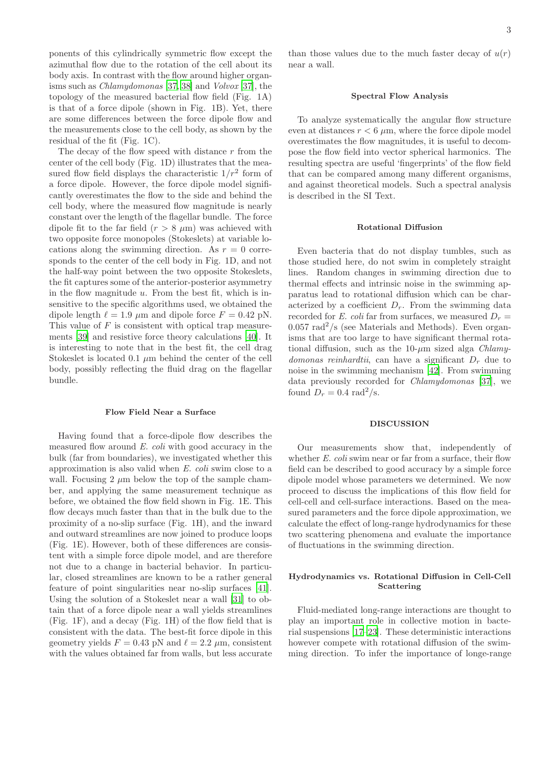ponents of this cylindrically symmetric flow except the azimuthal flow due to the rotation of the cell about its body axis. In contrast with the flow around higher organisms such as Chlamydomonas [\[37,](#page-7-23) [38\]](#page-7-24) and Volvox [\[37](#page-7-23)], the topology of the measured bacterial flow field (Fig. 1A) is that of a force dipole (shown in Fig. 1B). Yet, there are some differences between the force dipole flow and the measurements close to the cell body, as shown by the residual of the fit (Fig. 1C).

The decay of the flow speed with distance  $r$  from the center of the cell body (Fig. 1D) illustrates that the measured flow field displays the characteristic  $1/r^2$  form of a force dipole. However, the force dipole model significantly overestimates the flow to the side and behind the cell body, where the measured flow magnitude is nearly constant over the length of the flagellar bundle. The force dipole fit to the far field  $(r > 8 \mu m)$  was achieved with two opposite force monopoles (Stokeslets) at variable locations along the swimming direction. As  $r = 0$  corresponds to the center of the cell body in Fig. 1D, and not the half-way point between the two opposite Stokeslets, the fit captures some of the anterior-posterior asymmetry in the flow magnitude  $u$ . From the best fit, which is insensitive to the specific algorithms used, we obtained the dipole length  $\ell = 1.9 \mu$ m and dipole force  $F = 0.42 \text{ pN}$ . This value of F is consistent with optical trap measurements [\[39\]](#page-8-0) and resistive force theory calculations [\[40\]](#page-8-1). It is interesting to note that in the best fit, the cell drag Stokeslet is located 0.1  $\mu$ m behind the center of the cell body, possibly reflecting the fluid drag on the flagellar bundle.

# Flow Field Near a Surface

Having found that a force-dipole flow describes the measured flow around E. coli with good accuracy in the bulk (far from boundaries), we investigated whether this approximation is also valid when E. coli swim close to a wall. Focusing 2  $\mu$ m below the top of the sample chamber, and applying the same measurement technique as before, we obtained the flow field shown in Fig. 1E. This flow decays much faster than that in the bulk due to the proximity of a no-slip surface (Fig. 1H), and the inward and outward streamlines are now joined to produce loops (Fig. 1E). However, both of these differences are consistent with a simple force dipole model, and are therefore not due to a change in bacterial behavior. In particular, closed streamlines are known to be a rather general feature of point singularities near no-slip surfaces [\[41\]](#page-8-2). Using the solution of a Stokeslet near a wall [\[31](#page-7-18)] to obtain that of a force dipole near a wall yields streamlines (Fig. 1F), and a decay (Fig. 1H) of the flow field that is consistent with the data. The best-fit force dipole in this geometry yields  $F = 0.43$  pN and  $\ell = 2.2$   $\mu$ m, consistent with the values obtained far from walls, but less accurate than those values due to the much faster decay of  $u(r)$ near a wall.

#### Spectral Flow Analysis

To analyze systematically the angular flow structure even at distances  $r < 6 \mu m$ , where the force dipole model overestimates the flow magnitudes, it is useful to decompose the flow field into vector spherical harmonics. The resulting spectra are useful 'fingerprints' of the flow field that can be compared among many different organisms, and against theoretical models. Such a spectral analysis is described in the SI Text.

### Rotational Diffusion

Even bacteria that do not display tumbles, such as those studied here, do not swim in completely straight lines. Random changes in swimming direction due to thermal effects and intrinsic noise in the swimming apparatus lead to rotational diffusion which can be characterized by a coefficient  $D_r$ . From the swimming data recorded for E. coli far from surfaces, we measured  $D_r =$  $0.057$  rad<sup>2</sup>/s (see Materials and Methods). Even organisms that are too large to have significant thermal rotational diffusion, such as the  $10$ - $\mu$ m sized alga *Chlamy*domonas reinhardtii, can have a significant  $D<sub>r</sub>$  due to noise in the swimming mechanism [\[42](#page-8-3)]. From swimming data previously recorded for Chlamydomonas [\[37\]](#page-7-23), we found  $D_r = 0.4$  rad<sup>2</sup>/s.

## DISCUSSION

Our measurements show that, independently of whether E. coli swim near or far from a surface, their flow field can be described to good accuracy by a simple force dipole model whose parameters we determined. We now proceed to discuss the implications of this flow field for cell-cell and cell-surface interactions. Based on the measured parameters and the force dipole approximation, we calculate the effect of long-range hydrodynamics for these two scattering phenomena and evaluate the importance of fluctuations in the swimming direction.

# Hydrodynamics vs. Rotational Diffusion in Cell-Cell Scattering

Fluid-mediated long-range interactions are thought to play an important role in collective motion in bacterial suspensions [\[17](#page-7-11)[–23\]](#page-7-12). These deterministic interactions however compete with rotational diffusion of the swimming direction. To infer the importance of longe-range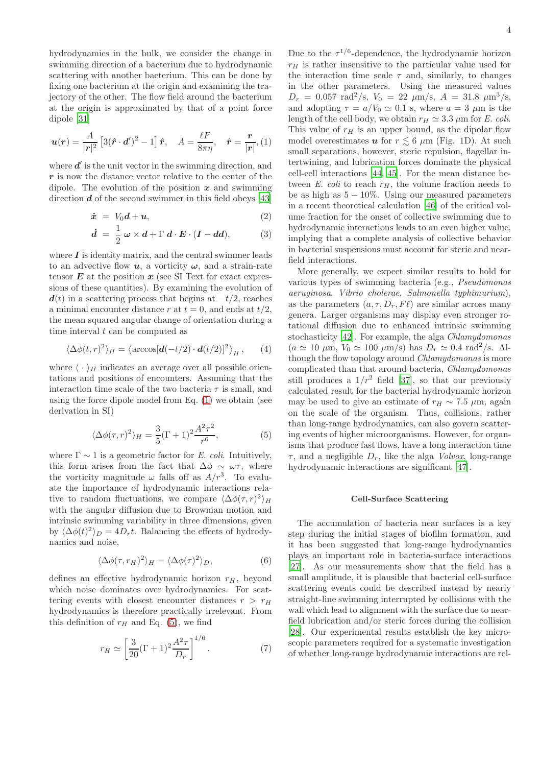hydrodynamics in the bulk, we consider the change in swimming direction of a bacterium due to hydrodynamic scattering with another bacterium. This can be done by fixing one bacterium at the origin and examining the trajectory of the other. The flow field around the bacterium at the origin is approximated by that of a point force dipole [\[31](#page-7-18)]

<span id="page-3-0"></span>
$$
\boldsymbol{u}(\boldsymbol{r}) = \frac{A}{|\boldsymbol{r}|^2} \left[ 3(\hat{\boldsymbol{r}} \cdot \boldsymbol{d}')^2 - 1 \right] \hat{\boldsymbol{r}}, \quad A = \frac{\ell F}{8\pi\eta}, \quad \hat{\boldsymbol{r}} = \frac{\boldsymbol{r}}{|\boldsymbol{r}|}, \quad (1)
$$

where  $d'$  is the unit vector in the swimming direction, and  $r$  is now the distance vector relative to the center of the dipole. The evolution of the position  $x$  and swimming direction  $d$  of the second swimmer in this field obeys [\[43](#page-8-4)]

<span id="page-3-2"></span>
$$
\dot{\boldsymbol{x}} = V_0 \boldsymbol{d} + \boldsymbol{u},\tag{2}
$$

$$
\dot{d} = \frac{1}{2} \omega \times d + \Gamma d \cdot E \cdot (I - dd), \qquad (3)
$$

where  $\boldsymbol{I}$  is identity matrix, and the central swimmer leads to an advective flow  $u$ , a vorticity  $\omega$ , and a strain-rate tensor  $E$  at the position  $x$  (see SI Text for exact expressions of these quantities). By examining the evolution of  $d(t)$  in a scattering process that begins at  $-t/2$ , reaches a minimal encounter distance r at  $t = 0$ , and ends at  $t/2$ , the mean squared angular change of orientation during a time interval  $t$  can be computed as

$$
\langle \Delta \phi(t, r)^2 \rangle_H = \langle \arccos[d(-t/2) \cdot \mathbf{d}(t/2)]^2 \rangle_H , \qquad (4)
$$

where  $\langle \cdot \rangle_H$  indicates an average over all possible orientations and positions of encounters. Assuming that the interaction time scale of the two bacteria  $\tau$  is small, and using the force dipole model from Eq. [\(1\)](#page-3-0) we obtain (see derivation in SI)

<span id="page-3-1"></span>
$$
\langle \Delta \phi(\tau, r)^2 \rangle_H = \frac{3}{5} (\Gamma + 1)^2 \frac{A^2 \tau^2}{r^6},\tag{5}
$$

where  $\Gamma \sim 1$  is a geometric factor for E. coli. Intuitively, this form arises from the fact that  $\Delta \phi \sim \omega \tau$ , where the vorticity magnitude  $\omega$  falls off as  $A/r^3$ . To evaluate the importance of hydrodynamic interactions relative to random fluctuations, we compare  $\langle \Delta \phi(\tau, r)^2 \rangle_H$ with the angular diffusion due to Brownian motion and intrinsic swimming variability in three dimensions, given by  $\langle \Delta \phi(t)^2 \rangle_D = 4D_r t$ . Balancing the effects of hydrodynamics and noise,

$$
\langle \Delta \phi(\tau, r_H)^2 \rangle_H = \langle \Delta \phi(\tau)^2 \rangle_D, \tag{6}
$$

defines an effective hydrodynamic horizon  $r_H$ , beyond which noise dominates over hydrodynamics. For scattering events with closest encounter distances  $r > r_H$ hydrodynamics is therefore practically irrelevant. From this definition of  $r_H$  and Eq. [\(5\)](#page-3-1), we find

$$
r_H \simeq \left[\frac{3}{20} (\Gamma + 1)^2 \frac{A^2 \tau}{D_r}\right]^{1/6}.
$$
 (7)

Due to the  $\tau^{1/6}$ -dependence, the hydrodynamic horizon  $r_H$  is rather insensitive to the particular value used for the interaction time scale  $\tau$  and, similarly, to changes in the other parameters. Using the measured values  $D_r = 0.057 \text{ rad}^2/\text{s}, V_0 = 22 \text{ }\mu\text{m/s}, A = 31.8 \text{ }\mu\text{m}^3/\text{s},$ and adopting  $\tau = a/V_0 \simeq 0.1$  s, where  $a = 3 \mu m$  is the length of the cell body, we obtain  $r_H \simeq 3.3 \,\mu \text{m}$  for E. coli. This value of  $r_H$  is an upper bound, as the dipolar flow model overestimates u for  $r \leq 6 \mu m$  (Fig. 1D). At such small separations, however, steric repulsion, flagellar intertwining, and lubrication forces dominate the physical cell-cell interactions [\[44,](#page-8-5) [45](#page-8-6)]. For the mean distance between E. coli to reach  $r_H$ , the volume fraction needs to be as high as  $5 - 10\%$ . Using our measured parameters in a recent theoretical calculation [\[46\]](#page-8-7) of the critical volume fraction for the onset of collective swimming due to hydrodynamic interactions leads to an even higher value, implying that a complete analysis of collective behavior in bacterial suspensions must account for steric and nearfield interactions.

More generally, we expect similar results to hold for various types of swimming bacteria (e.g., Pseudomonas aeruginosa, Vibrio cholerae, Salmonella typhimurium), as the parameters  $(a, \tau, D_r, F\ell)$  are similar across many genera. Larger organisms may display even stronger rotational diffusion due to enhanced intrinsic swimming stochasticity [\[42\]](#page-8-3). For example, the alga Chlamydomonas  $(a \simeq 10 \ \mu \text{m}, V_0 \simeq 100 \ \mu \text{m/s})$  has  $D_r \simeq 0.4 \text{ rad}^2/\text{s}$ . Although the flow topology around *Chlamydomonas* is more complicated than that around bacteria, Chlamydomonas still produces a  $1/r^2$  field [\[37\]](#page-7-23), so that our previously calculated result for the bacterial hydrodynamic horizon may be used to give an estimate of  $r_H \sim 7.5 \mu$ m, again on the scale of the organism. Thus, collisions, rather than long-range hydrodynamics, can also govern scattering events of higher microorganisms. However, for organisms that produce fast flows, have a long interaction time  $\tau$ , and a negligible  $D_r$ , like the alga Volvox, long-range hydrodynamic interactions are significant [\[47](#page-8-8)].

### Cell-Surface Scattering

The accumulation of bacteria near surfaces is a key step during the initial stages of biofilm formation, and it has been suggested that long-range hydrodynamics plays an important role in bacteria-surface interactions [\[27\]](#page-7-16). As our measurements show that the field has a small amplitude, it is plausible that bacterial cell-surface scattering events could be described instead by nearly straight-line swimming interrupted by collisions with the wall which lead to alignment with the surface due to nearfield lubrication and/or steric forces during the collision [\[28\]](#page-7-21). Our experimental results establish the key microscopic parameters required for a systematic investigation of whether long-range hydrodynamic interactions are rel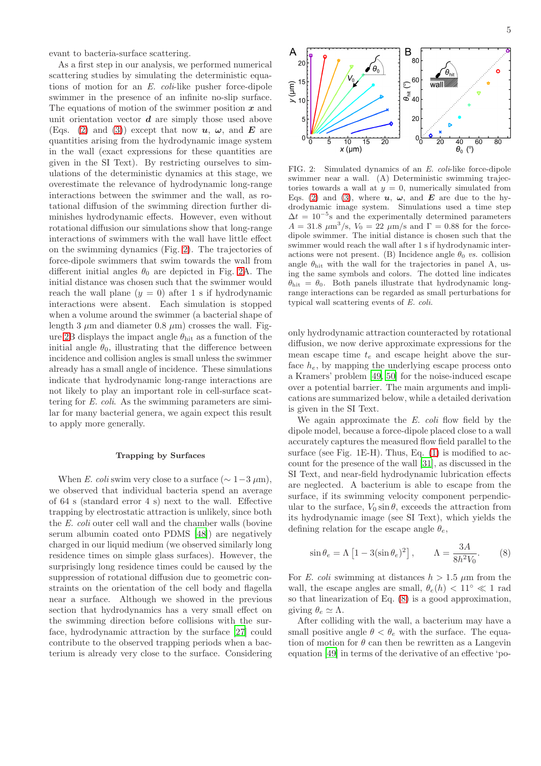evant to bacteria-surface scattering.

As a first step in our analysis, we performed numerical scattering studies by simulating the deterministic equations of motion for an E. coli-like pusher force-dipole swimmer in the presence of an infinite no-slip surface. The equations of motion of the swimmer position  $x$  and unit orientation vector  $d$  are simply those used above (Eqs. [\(2\)](#page-3-2) and [\(3\)](#page-3-2)) except that now  $u, \omega$ , and E are quantities arising from the hydrodynamic image system in the wall (exact expressions for these quantities are given in the SI Text). By restricting ourselves to simulations of the deterministic dynamics at this stage, we overestimate the relevance of hydrodynamic long-range interactions between the swimmer and the wall, as rotational diffusion of the swimming direction further diminishes hydrodynamic effects. However, even without rotational diffusion our simulations show that long-range interactions of swimmers with the wall have little effect on the swimming dynamics (Fig. [2\)](#page-4-0). The trajectories of force-dipole swimmers that swim towards the wall from different initial angles  $\theta_0$  are depicted in Fig. [2A](#page-4-0). The initial distance was chosen such that the swimmer would reach the wall plane  $(y = 0)$  after 1 s if hydrodynamic interactions were absent. Each simulation is stopped when a volume around the swimmer (a bacterial shape of length 3  $\mu$ m and diameter 0.8  $\mu$ m) crosses the wall. Fig-ure [2B](#page-4-0) displays the impact angle  $\theta_{\text{hit}}$  as a function of the initial angle  $\theta_0$ , illustrating that the difference between incidence and collision angles is small unless the swimmer already has a small angle of incidence. These simulations indicate that hydrodynamic long-range interactions are not likely to play an important role in cell-surface scattering for E. coli. As the swimming parameters are similar for many bacterial genera, we again expect this result to apply more generally.

### Trapping by Surfaces

When E. coli swim very close to a surface  $(\sim 1-3 \,\mu\text{m})$ , we observed that individual bacteria spend an average of 64 s (standard error 4 s) next to the wall. Effective trapping by electrostatic attraction is unlikely, since both the E. coli outer cell wall and the chamber walls (bovine serum albumin coated onto PDMS [\[48\]](#page-8-9)) are negatively charged in our liquid medium (we observed similarly long residence times on simple glass surfaces). However, the surprisingly long residence times could be caused by the suppression of rotational diffusion due to geometric constraints on the orientation of the cell body and flagella near a surface. Although we showed in the previous section that hydrodynamics has a very small effect on the swimming direction before collisions with the surface, hydrodynamic attraction by the surface [\[27](#page-7-16)] could contribute to the observed trapping periods when a bacterium is already very close to the surface. Considering  $0_0$ 

 $\overline{\overset{40}{\theta_0}$  (°) 60

Α

 $y$  ( $\mu$ m) 15

 $20$ 

 $10$ 

5

 $10$ 15

<span id="page-4-0"></span> $x \, (\mu m)$ 

5

80

FIG. 2: Simulated dynamics of an E. coli-like force-dipole swimmer near a wall. (A) Deterministic swimming trajectories towards a wall at  $y = 0$ , numerically simulated from Eqs. [\(2\)](#page-3-2) and [\(3\)](#page-3-2), where  $u, \omega$ , and  $E$  are due to the hydrodynamic image system. Simulations used a time step  $\Delta t = 10^{-5}$ s and the experimentally determined parameters  $A = 31.8 \ \mu \text{m}^3/\text{s}, V_0 = 22 \ \mu \text{m/s}$  and  $\Gamma = 0.88$  for the forcedipole swimmer. The initial distance is chosen such that the swimmer would reach the wall after 1 s if hydrodynamic interactions were not present. (B) Incidence angle  $\theta_0$  vs. collision angle  $\theta_{\text{hit}}$  with the wall for the trajectories in panel A, using the same symbols and colors. The dotted line indicates  $\theta_{\text{hit}} = \theta_0$ . Both panels illustrate that hydrodynamic longrange interactions can be regarded as small perturbations for typical wall scattering events of E. coli.

 $\overline{20}$ 

only hydrodynamic attraction counteracted by rotational diffusion, we now derive approximate expressions for the mean escape time  $t_e$  and escape height above the surface  $h_e$ , by mapping the underlying escape process onto a Kramers' problem [\[49](#page-8-10), [50\]](#page-8-11) for the noise-induced escape over a potential barrier. The main arguments and implications are summarized below, while a detailed derivation is given in the SI Text.

We again approximate the  $E.$  coli flow field by the dipole model, because a force-dipole placed close to a wall accurately captures the measured flow field parallel to the surface (see Fig. 1E-H). Thus, Eq. [\(1\)](#page-3-0) is modified to account for the presence of the wall [\[31\]](#page-7-18), as discussed in the SI Text, and near-field hydrodynamic lubrication effects are neglected. A bacterium is able to escape from the surface, if its swimming velocity component perpendicular to the surface,  $V_0 \sin \theta$ , exceeds the attraction from its hydrodynamic image (see SI Text), which yields the defining relation for the escape angle  $\theta_e$ ,

<span id="page-4-1"></span>
$$
\sin \theta_e = \Lambda \left[ 1 - 3(\sin \theta_e)^2 \right], \qquad \Lambda = \frac{3A}{8h^2 V_0}.
$$
 (8)

For E. coli swimming at distances  $h > 1.5 \mu m$  from the wall, the escape angles are small,  $\theta_e(h) < 11^\circ \ll 1$  rad so that linearization of Eq. [\(8\)](#page-4-1) is a good approximation, giving  $\theta_e \simeq \Lambda$ .

After colliding with the wall, a bacterium may have a small positive angle  $\theta < \theta_e$  with the surface. The equation of motion for  $\theta$  can then be rewritten as a Langevin equation [\[49\]](#page-8-10) in terms of the derivative of an effective 'po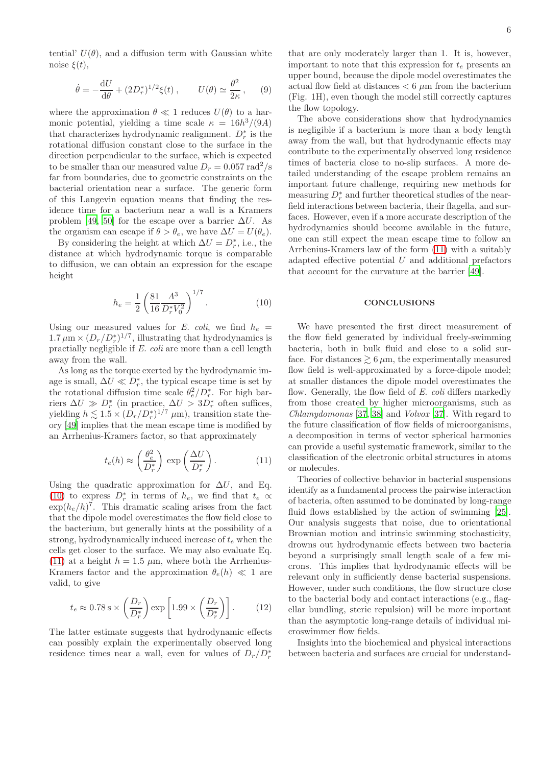tential'  $U(\theta)$ , and a diffusion term with Gaussian white noise  $\xi(t)$ ,

$$
\dot{\theta} = -\frac{\mathrm{d}U}{\mathrm{d}\theta} + (2D_r^*)^{1/2}\xi(t) , \qquad U(\theta) \simeq \frac{\theta^2}{2\kappa}, \qquad (9)
$$

where the approximation  $\theta \ll 1$  reduces  $U(\theta)$  to a harmonic potential, yielding a time scale  $\kappa = 16h^3/(9A)$ that characterizes hydrodynamic realignment.  $D_r^*$  is the rotational diffusion constant close to the surface in the direction perpendicular to the surface, which is expected to be smaller than our measured value  $D_r = 0.057$  rad<sup>2</sup>/s far from boundaries, due to geometric constraints on the bacterial orientation near a surface. The generic form of this Langevin equation means that finding the residence time for a bacterium near a wall is a Kramers problem [\[49](#page-8-10), [50](#page-8-11)] for the escape over a barrier  $\Delta U$ . As the organism can escape if  $\theta > \theta_e$ , we have  $\Delta U = U(\theta_e)$ .

By considering the height at which  $\Delta U = D_r^*$ , i.e., the distance at which hydrodynamic torque is comparable to diffusion, we can obtain an expression for the escape height

<span id="page-5-0"></span>
$$
h_e = \frac{1}{2} \left( \frac{81}{16} \frac{A^3}{D_r^* V_0^2} \right)^{1/7}.
$$
 (10)

Using our measured values for E. coli, we find  $h_e$  =  $1.7 \mu m \times (D_r/D_r^*)^{1/7}$ , illustrating that hydrodynamics is practially negligible if E. coli are more than a cell length away from the wall.

As long as the torque exerted by the hydrodynamic image is small,  $\Delta U \ll D_r^*$ , the typical escape time is set by the rotational diffusion time scale  $\theta_e^2/D_r^*$ . For high barriers  $\Delta U \gg D_r^*$  (in practice,  $\Delta U > 3D_r^*$  often suffices, yielding  $h \lesssim 1.5 \times (D_r/D_r^*)^{1/7} \mu m$ , transition state theory [\[49\]](#page-8-10) implies that the mean escape time is modified by an Arrhenius-Kramers factor, so that approximately

<span id="page-5-1"></span>
$$
t_e(h) \approx \left(\frac{\theta_e^2}{D_r^*}\right) \exp\left(\frac{\Delta U}{D_r^*}\right). \tag{11}
$$

Using the quadratic approximation for  $\Delta U$ , and Eq. [\(10\)](#page-5-0) to express  $D_r^*$  in terms of  $h_e$ , we find that  $t_e \propto$  $\exp(h_e/h)^7$ . This dramatic scaling arises from the fact that the dipole model overestimates the flow field close to the bacterium, but generally hints at the possibility of a strong, hydrodynamically induced increase of  $t<sub>e</sub>$  when the cells get closer to the surface. We may also evaluate Eq. [\(11\)](#page-5-1) at a height  $h = 1.5 \mu m$ , where both the Arrhenius-Kramers factor and the approximation  $\theta_e(h) \ll 1$  are valid, to give

$$
t_e \approx 0.78 \text{ s} \times \left(\frac{D_r}{D_r^*}\right) \exp\left[1.99 \times \left(\frac{D_r}{D_r^*}\right)\right].
$$
 (12)

The latter estimate suggests that hydrodynamic effects can possibly explain the experimentally observed long residence times near a wall, even for values of  $D_r/D_r^*$ 

that are only moderately larger than 1. It is, however, important to note that this expression for  $t_e$  presents an upper bound, because the dipole model overestimates the actual flow field at distances  $< 6 \mu m$  from the bacterium (Fig. 1H), even though the model still correctly captures the flow topology.

The above considerations show that hydrodynamics is negligible if a bacterium is more than a body length away from the wall, but that hydrodynamic effects may contribute to the experimentally observed long residence times of bacteria close to no-slip surfaces. A more detailed understanding of the escape problem remains an important future challenge, requiring new methods for measuring  $D_r^*$  and further theoretical studies of the nearfield interactions between bacteria, their flagella, and surfaces. However, even if a more accurate description of the hydrodynamics should become available in the future, one can still expect the mean escape time to follow an Arrhenius-Kramers law of the form [\(11\)](#page-5-1) with a suitably adapted effective potential  $U$  and additional prefactors that account for the curvature at the barrier [\[49](#page-8-10)].

### **CONCLUSIONS**

We have presented the first direct measurement of the flow field generated by individual freely-swimming bacteria, both in bulk fluid and close to a solid surface. For distances  $\geq 6 \,\mu m$ , the experimentally measured flow field is well-approximated by a force-dipole model; at smaller distances the dipole model overestimates the flow. Generally, the flow field of E. coli differs markedly from those created by higher microorganisms, such as Chlamydomonas [\[37,](#page-7-23) [38](#page-7-24)] and Volvox [\[37\]](#page-7-23). With regard to the future classification of flow fields of microorganisms, a decomposition in terms of vector spherical harmonics can provide a useful systematic framework, similar to the classification of the electronic orbital structures in atoms or molecules.

Theories of collective behavior in bacterial suspensions identify as a fundamental process the pairwise interaction of bacteria, often assumed to be dominated by long-range fluid flows established by the action of swimming [\[25\]](#page-7-14). Our analysis suggests that noise, due to orientational Brownian motion and intrinsic swimming stochasticity, drowns out hydrodynamic effects between two bacteria beyond a surprisingly small length scale of a few microns. This implies that hydrodynamic effects will be relevant only in sufficiently dense bacterial suspensions. However, under such conditions, the flow structure close to the bacterial body and contact interactions (e.g., flagellar bundling, steric repulsion) will be more important than the asymptotic long-range details of individual microswimmer flow fields.

Insights into the biochemical and physical interactions between bacteria and surfaces are crucial for understand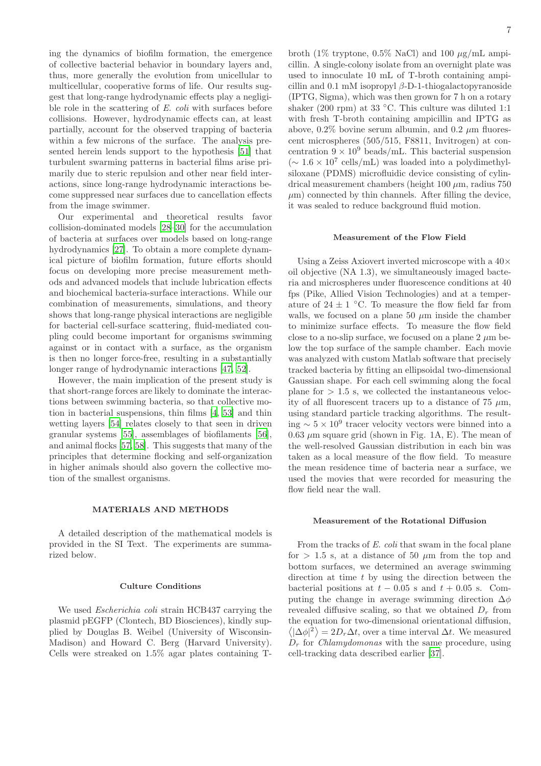ing the dynamics of biofilm formation, the emergence of collective bacterial behavior in boundary layers and, thus, more generally the evolution from unicellular to multicellular, cooperative forms of life. Our results suggest that long-range hydrodynamic effects play a negligible role in the scattering of E. coli with surfaces before collisions. However, hydrodynamic effects can, at least partially, account for the observed trapping of bacteria within a few microns of the surface. The analysis presented herein lends support to the hypothesis [\[51\]](#page-8-12) that turbulent swarming patterns in bacterial films arise primarily due to steric repulsion and other near field interactions, since long-range hydrodynamic interactions become suppressed near surfaces due to cancellation effects from the image swimmer.

Our experimental and theoretical results favor collision-dominated models [\[28](#page-7-21)[–30\]](#page-7-17) for the accumulation of bacteria at surfaces over models based on long-range hydrodynamics [\[27\]](#page-7-16). To obtain a more complete dynamical picture of biofilm formation, future efforts should focus on developing more precise measurement methods and advanced models that include lubrication effects and biochemical bacteria-surface interactions. While our combination of measurements, simulations, and theory shows that long-range physical interactions are negligible for bacterial cell-surface scattering, fluid-mediated coupling could become important for organisms swimming against or in contact with a surface, as the organism is then no longer force-free, resulting in a substantially longer range of hydrodynamic interactions [\[47,](#page-8-8) [52\]](#page-8-13).

However, the main implication of the present study is that short-range forces are likely to dominate the interactions between swimming bacteria, so that collective motion in bacterial suspensions, thin films [\[4,](#page-7-3) [53](#page-8-14)] and thin wetting layers [\[54\]](#page-8-15) relates closely to that seen in driven granular systems [\[55](#page-8-16)], assemblages of biofilaments [\[56\]](#page-8-17), and animal flocks [\[57,](#page-8-18) [58\]](#page-8-19). This suggests that many of the principles that determine flocking and self-organization in higher animals should also govern the collective motion of the smallest organisms.

# MATERIALS AND METHODS

A detailed description of the mathematical models is provided in the SI Text. The experiments are summarized below.

### Culture Conditions

We used Escherichia coli strain HCB437 carrying the plasmid pEGFP (Clontech, BD Biosciences), kindly supplied by Douglas B. Weibel (University of Wisconsin-Madison) and Howard C. Berg (Harvard University). Cells were streaked on 1.5% agar plates containing T-

broth (1% tryptone, 0.5% NaCl) and 100  $\mu$ g/mL ampicillin. A single-colony isolate from an overnight plate was used to innoculate 10 mL of T-broth containing ampicillin and 0.1 mM isopropyl  $\beta$ -D-1-thiogalactopyranoside (IPTG, Sigma), which was then grown for 7 h on a rotary shaker (200 rpm) at 33  $°C$ . This culture was diluted 1:1 with fresh T-broth containing ampicillin and IPTG as above,  $0.2\%$  bovine serum albumin, and  $0.2 \mu$ m fluorescent microspheres (505/515, F8811, Invitrogen) at concentration  $9 \times 10^9$  beads/mL. This bacterial suspension (∼ 1.6 × 10<sup>7</sup> cells/mL) was loaded into a polydimethylsiloxane (PDMS) microfluidic device consisting of cylindrical measurement chambers (height  $100 \mu m$ , radius  $750$  $\mu$ m) connected by thin channels. After filling the device, it was sealed to reduce background fluid motion.

### Measurement of the Flow Field

Using a Zeiss Axiovert inverted microscope with a 40× oil objective (NA 1.3), we simultaneously imaged bacteria and microspheres under fluorescence conditions at 40 fps (Pike, Allied Vision Technologies) and at a temperature of  $24 \pm 1$  °C. To measure the flow field far from walls, we focused on a plane 50  $\mu$ m inside the chamber to minimize surface effects. To measure the flow field close to a no-slip surface, we focused on a plane  $2 \mu m$  below the top surface of the sample chamber. Each movie was analyzed with custom Matlab software that precisely tracked bacteria by fitting an ellipsoidal two-dimensional Gaussian shape. For each cell swimming along the focal plane for  $> 1.5$  s, we collected the instantaneous velocity of all fluorescent tracers up to a distance of  $75 \mu m$ , using standard particle tracking algorithms. The resulting  $\sim 5 \times 10^9$  tracer velocity vectors were binned into a  $0.63 \mu$ m square grid (shown in Fig. 1A, E). The mean of the well-resolved Gaussian distribution in each bin was taken as a local measure of the flow field. To measure the mean residence time of bacteria near a surface, we used the movies that were recorded for measuring the flow field near the wall.

### Measurement of the Rotational Diffusion

From the tracks of E. coli that swam in the focal plane for  $> 1.5$  s, at a distance of 50  $\mu$ m from the top and bottom surfaces, we determined an average swimming direction at time  $t$  by using the direction between the bacterial positions at  $t - 0.05$  s and  $t + 0.05$  s. Computing the change in average swimming direction  $\Delta \phi$ revealed diffusive scaling, so that we obtained  $D_r$  from the equation for two-dimensional orientational diffusion,  $\langle |\Delta \phi|^2 \rangle = 2D_r \Delta t$ , over a time interval  $\Delta t$ . We measured  $D_r$  for *Chlamydomonas* with the same procedure, using cell-tracking data described earlier [\[37\]](#page-7-23).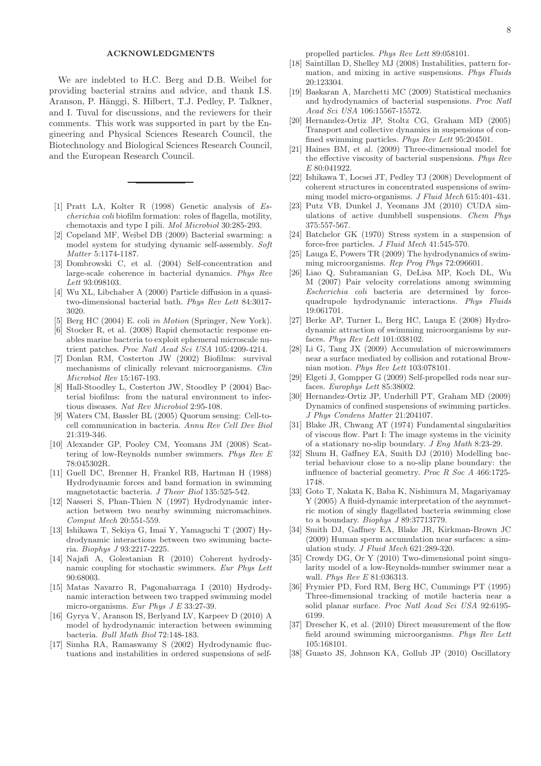# ACKNOWLEDGMENTS

We are indebted to H.C. Berg and D.B. Weibel for providing bacterial strains and advice, and thank I.S. Aranson, P. Hänggi, S. Hilbert, T.J. Pedley, P. Talkner, and I. Tuval for discussions, and the reviewers for their comments. This work was supported in part by the Engineering and Physical Sciences Research Council, the Biotechnology and Biological Sciences Research Council, and the European Research Council.

- <span id="page-7-0"></span>[1] Pratt LA, Kolter R (1998) Genetic analysis of Escherichia coli biofilm formation: roles of flagella, motility, chemotaxis and type I pili. Mol Microbiol 30:285-293.
- <span id="page-7-1"></span>[2] Copeland MF, Weibel DB (2009) Bacterial swarming: a model system for studying dynamic self-assembly. Soft Matter 5:1174-1187.
- <span id="page-7-2"></span>[3] Dombrowski C, et al. (2004) Self-concentration and large-scale coherence in bacterial dynamics. Phys Rev Lett 93:098103.
- <span id="page-7-3"></span>[4] Wu XL, Libchaber A (2000) Particle diffusion in a quasitwo-dimensional bacterial bath. Phys Rev Lett 84:3017- 3020.
- <span id="page-7-4"></span>[5] Berg HC (2004) E. coli in Motion (Springer, New York).
- <span id="page-7-5"></span>[6] Stocker R, et al. (2008) Rapid chemotactic response enables marine bacteria to exploit ephemeral microscale nutrient patches. Proc Natl Acad Sci USA 105:4209-4214.
- <span id="page-7-6"></span>[7] Donlan RM, Costerton JW (2002) Biofilms: survival mechanisms of clinically relevant microorganisms. Clin Microbiol Rev 15:167-193.
- <span id="page-7-7"></span>[8] Hall-Stoodley L, Costerton JW, Stoodley P (2004) Bacterial biofilms: from the natural environment to infectious diseases. Nat Rev Microbiol 2:95-108.
- <span id="page-7-8"></span>[9] Waters CM, Bassler BL (2005) Quorum sensing: Cell-tocell communication in bacteria. Annu Rev Cell Dev Biol 21:319-346.
- <span id="page-7-9"></span>[10] Alexander GP, Pooley CM, Yeomans JM (2008) Scattering of low-Reynolds number swimmers. Phys Rev E 78:045302R.
- [11] Guell DC, Brenner H, Frankel RB, Hartman H (1988) Hydrodynamic forces and band formation in swimming magnetotactic bacteria. J Theor Biol 135:525-542.
- [12] Nasseri S, Phan-Thien N (1997) Hydrodynamic interaction between two nearby swimming micromachines. Comput Mech 20:551-559.
- [13] Ishikawa T, Sekiya G, Imai Y, Yamaguchi T (2007) Hydrodynamic interactions between two swimming bacteria. Biophys J 93:2217-2225.
- [14] Najafi A, Golestanian R (2010) Coherent hydrodynamic coupling for stochastic swimmers. Eur Phys Lett 90:68003.
- [15] Matas Navarro R, Pagonabarraga I (2010) Hydrodynamic interaction between two trapped swimming model micro-organisms. Eur Phys J E 33:27-39.
- <span id="page-7-10"></span>[16] Gyrya V, Aranson IS, Berlyand LV, Karpeev D (2010) A model of hydrodynamic interaction between swimming bacteria. Bull Math Biol 72:148-183.
- <span id="page-7-11"></span>[17] Simha RA, Ramaswamy S (2002) Hydrodynamic fluctuations and instabilities in ordered suspensions of self-

propelled particles. Phys Rev Lett 89:058101.

- [18] Saintillan D, Shelley MJ (2008) Instabilities, pattern formation, and mixing in active suspensions. Phys Fluids 20:123304.
- [19] Baskaran A, Marchetti MC (2009) Statistical mechanics and hydrodynamics of bacterial suspensions. Proc Natl Acad Sci USA 106:15567-15572.
- [20] Hernandez-Ortiz JP, Stoltz CG, Graham MD (2005) Transport and collective dynamics in suspensions of confined swimming particles. Phys Rev Lett 95:204501.
- [21] Haines BM, et al. (2009) Three-dimensional model for the effective viscosity of bacterial suspensions. Phys Rev E 80:041922.
- [22] Ishikawa T, Locsei JT, Pedley TJ (2008) Development of coherent structures in concentrated suspensions of swimming model micro-organisms. J Fluid Mech 615:401-431.
- <span id="page-7-12"></span>[23] Putz VB, Dunkel J, Yeomans JM (2010) CUDA simulations of active dumbbell suspensions. Chem Phys 375:557-567.
- <span id="page-7-13"></span>[24] Batchelor GK (1970) Stress system in a suspension of force-free particles. J Fluid Mech 41:545-570.
- <span id="page-7-14"></span>[25] Lauga E, Powers TR (2009) The hydrodynamics of swimming microorganisms. Rep Prog Phys 72:096601.
- <span id="page-7-15"></span>[26] Liao Q, Subramanian G, DeLisa MP, Koch DL, Wu M (2007) Pair velocity correlations among swimming Escherichia coli bacteria are determined by forcequadrupole hydrodynamic interactions. Phys Fluids 19:061701.
- <span id="page-7-16"></span>[27] Berke AP, Turner L, Berg HC, Lauga E (2008) Hydrodynamic attraction of swimming microorganisms by surfaces. Phys Rev Lett 101:038102.
- <span id="page-7-21"></span>[28] Li G, Tang JX (2009) Accumulation of microswimmers near a surface mediated by collision and rotational Brownian motion. Phys Rev Lett 103:078101.
- [29] Elgeti J, Gompper G (2009) Self-propelled rods near surfaces. Europhys Lett 85:38002.
- <span id="page-7-17"></span>[30] Hernandez-Ortiz JP, Underhill PT, Graham MD (2009) Dynamics of confined suspensions of swimming particles. J Phys Condens Matter 21:204107.
- <span id="page-7-18"></span>[31] Blake JR, Chwang AT (1974) Fundamental singularities of viscous flow. Part I: The image systems in the vicinity of a stationary no-slip boundary. J Eng Math 8:23-29.
- <span id="page-7-19"></span>[32] Shum H, Gaffney EA, Smith DJ (2010) Modelling bacterial behaviour close to a no-slip plane boundary: the influence of bacterial geometry. Proc R Soc A 466:1725- 1748.
- [33] Goto T, Nakata K, Baba K, Nishimura M, Magariyamay Y (2005) A fluid-dynamic interpretation of the asymmetric motion of singly flagellated bacteria swimming close to a boundary. Biophys J 89:37713779.
- [34] Smith DJ, Gaffney EA, Blake JR, Kirkman-Brown JC (2009) Human sperm accumulation near surfaces: a simulation study. J Fluid Mech 621:289-320.
- <span id="page-7-20"></span>[35] Crowdy DG, Or Y (2010) Two-dimensional point singularity model of a low-Reynolds-number swimmer near a wall. Phys Rev E 81:036313.
- <span id="page-7-22"></span>[36] Frymier PD, Ford RM, Berg HC, Cummings PT (1995) Three-dimensional tracking of motile bacteria near a solid planar surface. Proc Natl Acad Sci USA 92:6195- 6199.
- <span id="page-7-23"></span>[37] Drescher K, et al. (2010) Direct measurement of the flow field around swimming microorganisms. Phys Rev Lett 105:168101.
- <span id="page-7-24"></span>[38] Guasto JS, Johnson KA, Gollub JP (2010) Oscillatory